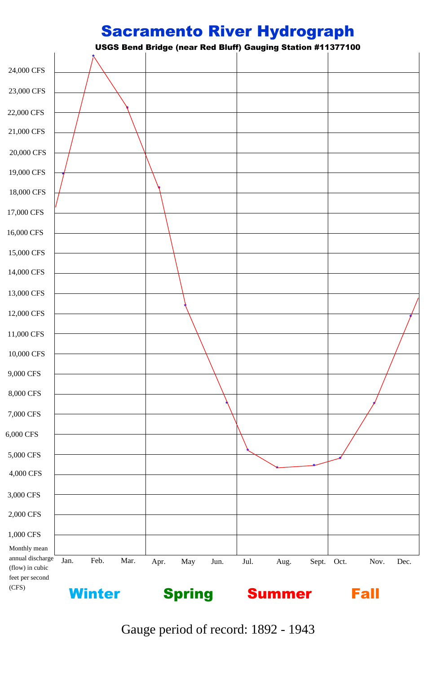## Sacramento River Hydrograph

USGS Bend Bridge (near Red Bluff) Gauging Station #11377100

| (CFS)                                                  | <b>Winter</b> |      |      | <b>Spring</b> |     |      | <b>Summer</b> |      |       | <b>Fall</b> |      |      |
|--------------------------------------------------------|---------------|------|------|---------------|-----|------|---------------|------|-------|-------------|------|------|
| annual discharge<br>(flow) in cubic<br>feet per second | Jan.          | Feb. | Mar. | Apr.          | May | Jun. | Jul.          | Aug. | Sept. | Oct.        | Nov. | Dec. |
| 1,000 CFS<br>Monthly mean                              |               |      |      |               |     |      |               |      |       |             |      |      |
| 2,000 CFS                                              |               |      |      |               |     |      |               |      |       |             |      |      |
| $3,000$ CPs                                            |               |      |      |               |     |      |               |      |       |             |      |      |



Gauge period of record: 1892 - 1943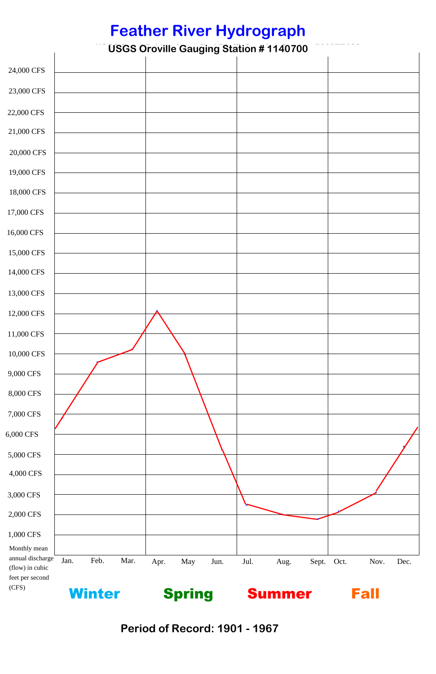## **Feather River Hydrograph**

**USGS Oroville Gauging Station # 1140700** 24,000 CFS 24,000 CFS<br>23,000 CFS<br>22,000 CFS<br>21,000 CFS<br>20,000 CFS<br>19,000 CFS<br>18,000 CFS<br>17,000 CFS<br>16,000 CFS<br>15,000 CFS<br>14,000 CFS<br>14,000 CFS<br>11,000 CFS<br>11,000 CFS<br>10,000 CFS<br>10,000 CFS<br>10,000 CFS<br>10,000 CFS<br>10,000 CFS<br>10,000 CFS<br>5, 23,000 CFS 22,000 CFS 21,000 CFS 20,000 CFS 19,000 CFS 18,000 CFS 17,000 CFS 16,000 CFS 15,000 CFS 14,000 CFS 13,000 CFS 12,000 CFS \* 11,000 CFS **\*** 10,000 CFS **\* \*** 9,000 CFS 8,000 CFS 7,000 CFS 6,000 CFS \* \* 5,000 CFS 4,000 CFS

| 6,000 CFS                                                              |      |               |      |      |               |                                      |      |               |       |      |             |      |
|------------------------------------------------------------------------|------|---------------|------|------|---------------|--------------------------------------|------|---------------|-------|------|-------------|------|
| 5,000 CFS                                                              |      |               |      |      |               |                                      |      |               |       |      |             |      |
| 4,000 CFS                                                              |      |               |      |      |               |                                      |      |               |       |      |             |      |
| 3,000 CFS                                                              |      |               |      |      |               |                                      |      |               |       |      |             |      |
| 2,000 CFS                                                              |      |               |      |      |               |                                      |      |               |       |      |             |      |
| 1,000 CFS                                                              |      |               |      |      |               |                                      |      |               |       |      |             |      |
| Monthly mean<br>annual discharge<br>(flow) in cubic<br>feet per second | Jan. | Feb.          | Mar. | Apr. | May           | Jun.                                 | Jul. | Aug.          | Sept. | Oct. | Nov.        | Dec. |
| (CFS)                                                                  |      | <b>Winter</b> |      |      | <b>Spring</b> |                                      |      | <b>Summer</b> |       |      | <b>Fall</b> |      |
|                                                                        |      |               |      |      |               | <b>Period of Record: 1901 - 1967</b> |      |               |       |      |             |      |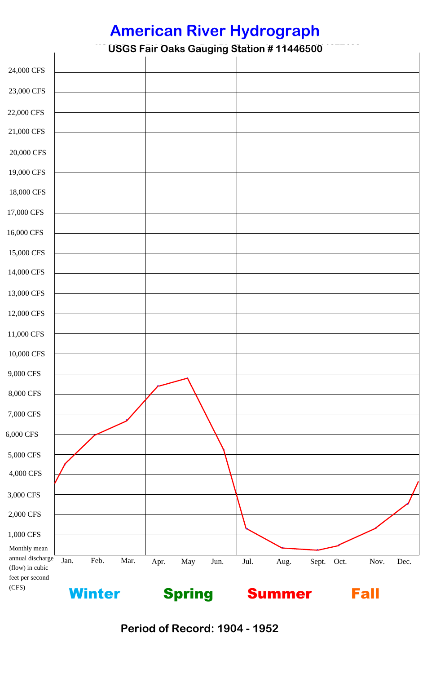## **American River Hydrograph**

|                                                     |      |               |      |      |               |                                      |      | <b>American River Hydrograph</b>                |       |      |             |      |
|-----------------------------------------------------|------|---------------|------|------|---------------|--------------------------------------|------|-------------------------------------------------|-------|------|-------------|------|
|                                                     |      |               |      |      |               |                                      |      | <b>USGS Fair Oaks Gauging Station #11446500</b> |       |      |             |      |
| 24,000 CFS                                          |      |               |      |      |               |                                      |      |                                                 |       |      |             |      |
| 23,000 CFS                                          |      |               |      |      |               |                                      |      |                                                 |       |      |             |      |
| 22,000 CFS                                          |      |               |      |      |               |                                      |      |                                                 |       |      |             |      |
| 21,000 CFS                                          |      |               |      |      |               |                                      |      |                                                 |       |      |             |      |
| 20,000 CFS                                          |      |               |      |      |               |                                      |      |                                                 |       |      |             |      |
| 19,000 CFS                                          |      |               |      |      |               |                                      |      |                                                 |       |      |             |      |
| 18,000 CFS                                          |      |               |      |      |               |                                      |      |                                                 |       |      |             |      |
| 17,000 CFS                                          |      |               |      |      |               |                                      |      |                                                 |       |      |             |      |
| 16,000 CFS                                          |      |               |      |      |               |                                      |      |                                                 |       |      |             |      |
| 15,000 CFS                                          |      |               |      |      |               |                                      |      |                                                 |       |      |             |      |
| 14,000 CFS                                          |      |               |      |      |               |                                      |      |                                                 |       |      |             |      |
| 13,000 CFS                                          |      |               |      |      |               |                                      |      |                                                 |       |      |             |      |
| 12,000 CFS                                          |      |               |      |      |               |                                      |      |                                                 |       |      |             |      |
| 11,000 CFS                                          |      |               |      |      |               |                                      |      |                                                 |       |      |             |      |
| 10,000 CFS                                          |      |               |      |      |               |                                      |      |                                                 |       |      |             |      |
| 9,000 CFS                                           |      |               |      |      |               |                                      |      |                                                 |       |      |             |      |
| 8,000 CFS                                           |      |               |      |      |               |                                      |      |                                                 |       |      |             |      |
| 7,000 CFS                                           |      |               |      |      |               |                                      |      |                                                 |       |      |             |      |
| 6,000 CFS                                           |      |               |      |      |               |                                      |      |                                                 |       |      |             |      |
| 5,000 CFS                                           |      |               |      |      |               |                                      |      |                                                 |       |      |             |      |
| $4,\!000$ CFS                                       |      |               |      |      |               |                                      |      |                                                 |       |      |             |      |
| 3,000 CFS                                           |      |               |      |      |               |                                      |      |                                                 |       |      |             |      |
| 2,000 CFS                                           |      |               |      |      |               |                                      |      |                                                 |       |      |             |      |
| 1,000 CFS                                           |      |               |      |      |               |                                      |      |                                                 |       |      |             |      |
| Monthly mean<br>annual discharge<br>(flow) in cubic | Jan. | Feb.          | Mar. | Apr. | May           | Jun.                                 | Jul. | Aug.                                            | Sept. | Oct. | Nov.        | Dec. |
| feet per second<br>(CFS)                            |      | <b>Winter</b> |      |      | <b>Spring</b> |                                      |      | <b>Summer</b>                                   |       |      | <b>Fall</b> |      |
|                                                     |      |               |      |      |               | <b>Period of Record: 1904 - 1952</b> |      |                                                 |       |      |             |      |